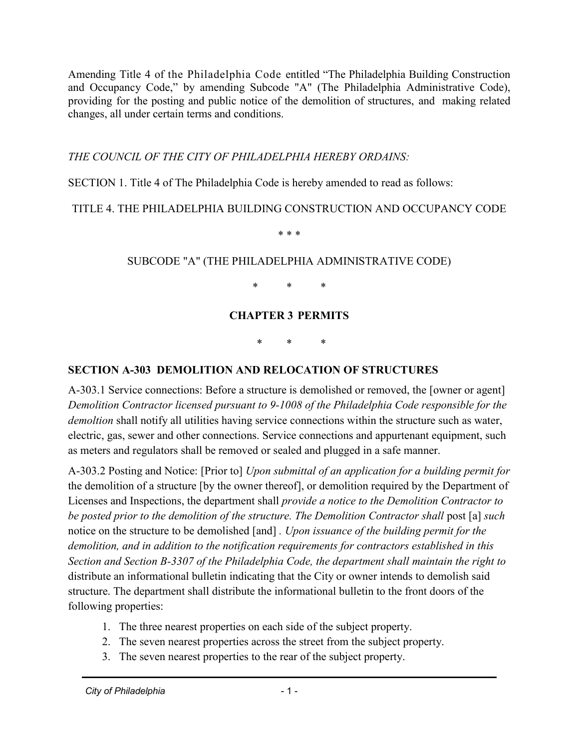Amending Title 4 of the Philadelphia Code entitled "The Philadelphia Building Construction and Occupancy Code," by amending Subcode "A" (The Philadelphia Administrative Code), providing for the posting and public notice of the demolition of structures, and making related changes, all under certain terms and conditions.

*THE COUNCIL OF THE CITY OF PHILADELPHIA HEREBY ORDAINS:*

SECTION 1. Title 4 of The Philadelphia Code is hereby amended to read as follows:

## TITLE 4. THE PHILADELPHIA BUILDING CONSTRUCTION AND OCCUPANCY CODE

\* \* \*

## SUBCODE "A" (THE PHILADELPHIA ADMINISTRATIVE CODE)

\* \* \*

## **CHAPTER 3 PERMITS**

\* \* \*

## **SECTION A-303 DEMOLITION AND RELOCATION OF STRUCTURES**

A-303.1 Service connections: Before a structure is demolished or removed, the [owner or agent] *Demolition Contractor licensed pursuant to 9-1008 of the Philadelphia Code responsible for the demoltion* shall notify all utilities having service connections within the structure such as water, electric, gas, sewer and other connections. Service connections and appurtenant equipment, such as meters and regulators shall be removed or sealed and plugged in a safe manner.

A-303.2 Posting and Notice: [Prior to] *Upon submittal of an application for a building permit for* the demolition of a structure [by the owner thereof], or demolition required by the Department of Licenses and Inspections, the department shall *provide a notice to the Demolition Contractor to be posted prior to the demolition of the structure. The Demolition Contractor shall* post [a] *such*  notice on the structure to be demolished [and] *. Upon issuance of the building permit for the demolition, and in addition to the notification requirements for contractors established in this Section and Section B-3307 of the Philadelphia Code, the department shall maintain the right to*  distribute an informational bulletin indicating that the City or owner intends to demolish said structure. The department shall distribute the informational bulletin to the front doors of the following properties:

- 1. The three nearest properties on each side of the subject property.
- 2. The seven nearest properties across the street from the subject property.
- 3. The seven nearest properties to the rear of the subject property.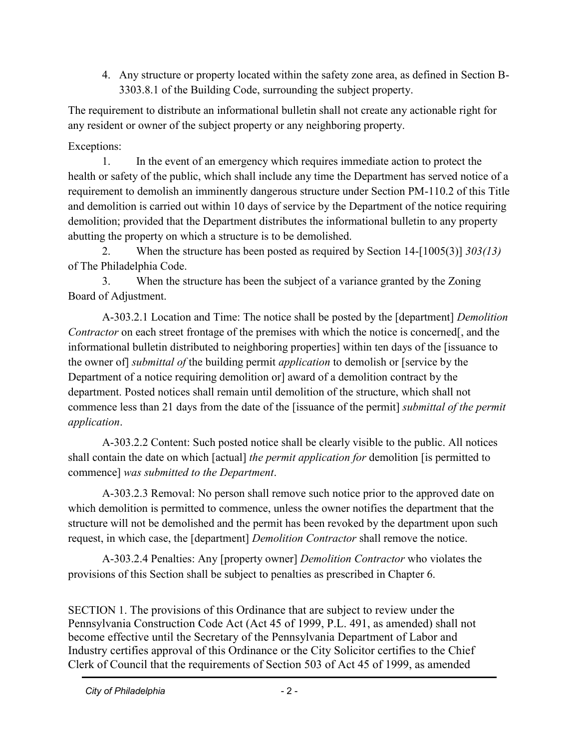4. Any structure or property located within the safety zone area, as defined in Section B-3303.8.1 of the Building Code, surrounding the subject property.

The requirement to distribute an informational bulletin shall not create any actionable right for any resident or owner of the subject property or any neighboring property.

Exceptions:

1. In the event of an emergency which requires immediate action to protect the health or safety of the public, which shall include any time the Department has served notice of a requirement to demolish an imminently dangerous structure under Section PM-110.2 of this Title and demolition is carried out within 10 days of service by the Department of the notice requiring demolition; provided that the Department distributes the informational bulletin to any property abutting the property on which a structure is to be demolished.

2. When the structure has been posted as required by Section 14-[1005(3)] *303(13)* of The Philadelphia Code.

3. When the structure has been the subject of a variance granted by the Zoning Board of Adjustment.

A-303.2.1 Location and Time: The notice shall be posted by the [department] *Demolition Contractor* on each street frontage of the premises with which the notice is concerned[, and the informational bulletin distributed to neighboring properties] within ten days of the [issuance to the owner of] *submittal of* the building permit *application* to demolish or [service by the Department of a notice requiring demolition or] award of a demolition contract by the department. Posted notices shall remain until demolition of the structure, which shall not commence less than 21 days from the date of the [issuance of the permit] *submittal of the permit application*.

A-303.2.2 Content: Such posted notice shall be clearly visible to the public. All notices shall contain the date on which [actual] *the permit application for* demolition [is permitted to commence] *was submitted to the Department*.

A-303.2.3 Removal: No person shall remove such notice prior to the approved date on which demolition is permitted to commence, unless the owner notifies the department that the structure will not be demolished and the permit has been revoked by the department upon such request, in which case, the [department] *Demolition Contractor* shall remove the notice.

A-303.2.4 Penalties: Any [property owner] *Demolition Contractor* who violates the provisions of this Section shall be subject to penalties as prescribed in Chapter 6.

SECTION 1. The provisions of this Ordinance that are subject to review under the Pennsylvania Construction Code Act (Act 45 of 1999, P.L. 491, as amended) shall not become effective until the Secretary of the Pennsylvania Department of Labor and Industry certifies approval of this Ordinance or the City Solicitor certifies to the Chief Clerk of Council that the requirements of Section 503 of Act 45 of 1999, as amended